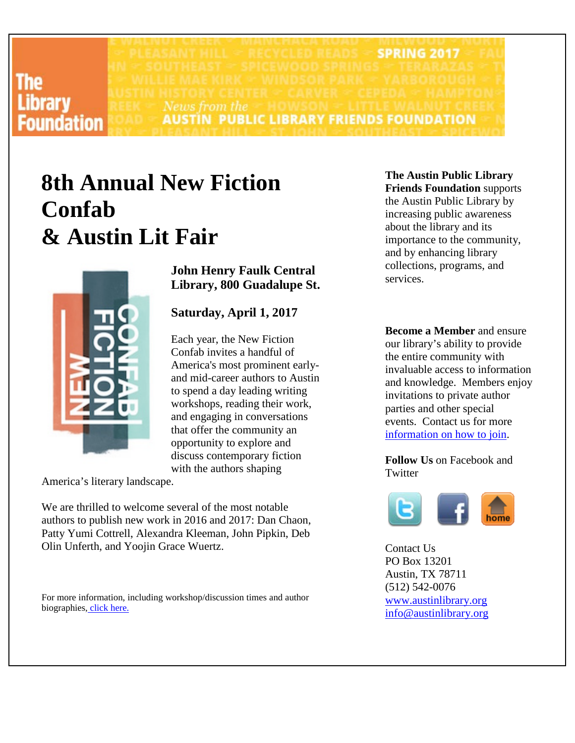### The **.ibrary Foundation**

**SPRING 2017** News from the **AUSTIN PUBLIC LIBRARY FRIENDS FOUNDATION** 

# **8th Annual New Fiction Confab & Austin Lit Fair**



**John Henry Faulk Central Library, 800 Guadalupe St.**

### **Saturday, April 1, 2017**

Each year, the New Fiction Confab invites a handful of America's most prominent earlyand mid-career authors to Austin to spend a day leading writing workshops, reading their work, and engaging in conversations that offer the community an opportunity to explore and discuss contemporary fiction with the authors shaping

America's literary landscape.

We are thrilled to welcome several of the most notable authors to publish new work in 2016 and 2017: Dan Chaon, Patty Yumi Cottrell, Alexandra Kleeman, John Pipkin, Deb Olin Unferth, and Yoojin Grace Wuertz.

For more information, including workshop/discussion times and author biographies, click [here.](http://www.austinlibrary.org/site/PageServer?pagename=New_Fiction_Confab)

#### **The Austin Public Library Friends Foundation** supports the Austin Public Library by increasing public awareness about the library and its importance to the community, and by enhancing library collections, programs, and services.

**Become a Member** and ensure our library's ability to provide the entire community with invaluable access to information and knowledge. Members enjoy invitations to private author parties and other special events. Contact us for more [information on how to join.](http://www.austinlibrary.org/site/Donation;jsessionid=00000000.app270b?ACTION=SHOW_DONATION_OPTIONS&CAMPAIGN_ID=1841&NONCE_TOKEN=BF7C7C553EF8694AEA71E697E0B99846)

**Follow Us** on Facebook and **Twitter** 



Contact Us PO Box 13201 Austin, TX 78711 (512) 542-0076 [www.austinlibrary.org](http://www.austinlibrary.org/site/PageServer) [info@austinlibrary.org](http://www.austinlibrary.org/site/TellAFriend)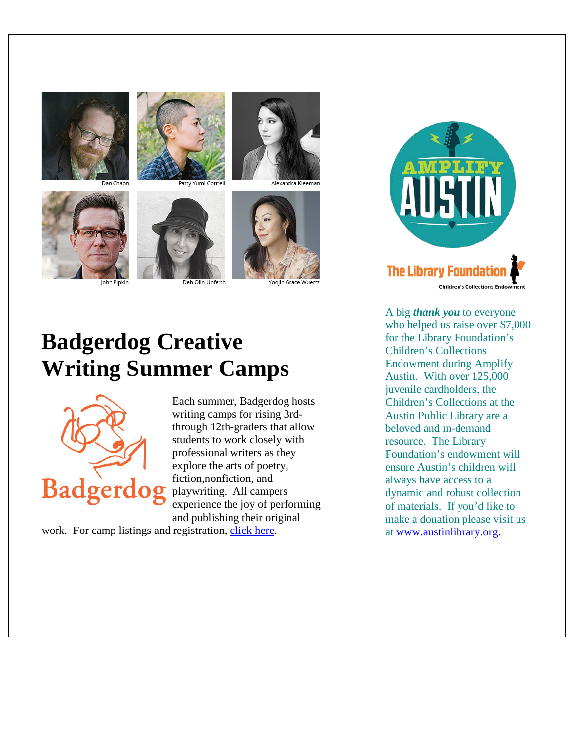

an Chaor











Alexandra Kleemar

oojin Grace Wuertz

# **Badgerdog Creative Writing Summer Camps**



Each summer, Badgerdog hosts writing camps for rising 3rdthrough 12th-graders that allow students to work closely with professional writers as they explore the arts of poetry, fiction,nonfiction, and playwriting. All campers experience the joy of performing and publishing their original

work. For camp listings and registration, [click here.](http://www.austinlibrary.org/site/PageNavigator/Badgerdog/bdog_summer_camp.html)



A big *thank you* to everyone who helped us raise over \$7,000 for the Library Foundation's Children's Collections Endowment during Amplify Austin. With over 125,000 juvenile cardholders, the Children's Collections at the Austin Public Library are a beloved and in-demand resource. The Library Foundation's endowment will ensure Austin's children will always have access to a dynamic and robust collection of materials. If you'd like to make a donation please visit us at [www.austinlibrary.org.](http://www.austinlibrary.org/site/PageServer)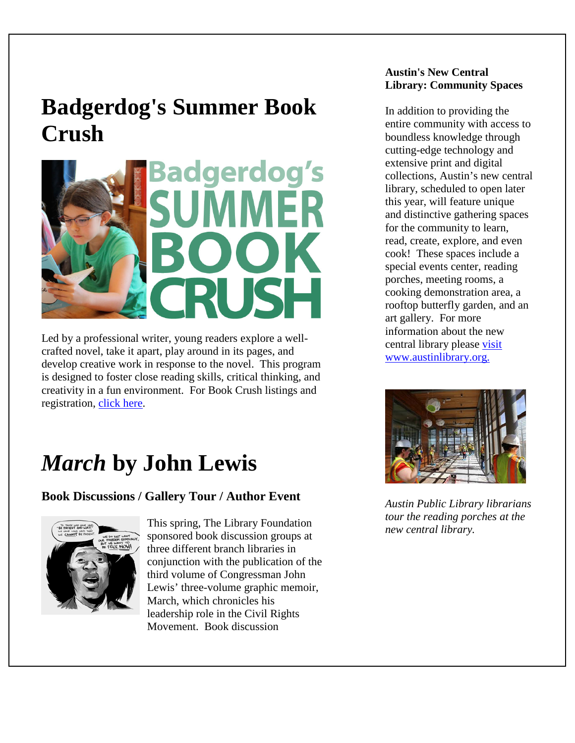## **Badgerdog's Summer Book Crush**



Led by a professional writer, young readers explore a wellcrafted novel, take it apart, play around in its pages, and develop creative work in response to the novel. This program is designed to foster close reading skills, critical thinking, and creativity in a fun environment. For Book Crush listings and registration, [click here.](http://www.austinlibrary.org/site/PageServer?pagename=bdog_SummerBookCrush)

## *March* **by John Lewis**

### **Book Discussions / Gallery Tour / Author Event**



This spring, The Library Foundation sponsored book discussion groups at three different branch libraries in conjunction with the publication of the third volume of Congressman John Lewis' three-volume graphic memoir, March, which chronicles his leadership role in the Civil Rights Movement. Book discussion

#### **Austin's New Central Library: Community Spaces**

In addition to providing the entire community with access to boundless knowledge through cutting-edge technology and extensive print and digital collections, Austin's new central library, scheduled to open later this year, will feature unique and distinctive gathering spaces for the community to learn, read, create, explore, and even cook! These spaces include a special events center, reading porches, meeting rooms, a cooking demonstration area, a rooftop butterfly garden, and an art gallery. For more information about the new central library please [visit](http://www.austinlibrary.org/site/PageServer?pagename=central_library)  [www.austinlibrary.org.](http://www.austinlibrary.org/site/PageServer?pagename=central_library) 



*Austin Public Library librarians tour the reading porches at the new central library.*